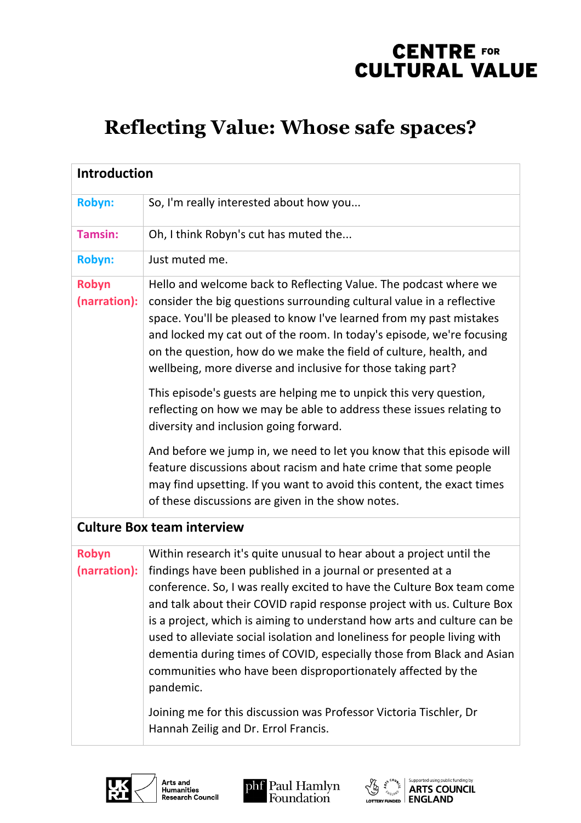### **Reflecting Value: Whose safe spaces?**

| <b>Introduction</b>               |                                                                                                                                                                                                                                                                                                                                                                                                                                                                                                                                                                                                                                                                                                                    |  |
|-----------------------------------|--------------------------------------------------------------------------------------------------------------------------------------------------------------------------------------------------------------------------------------------------------------------------------------------------------------------------------------------------------------------------------------------------------------------------------------------------------------------------------------------------------------------------------------------------------------------------------------------------------------------------------------------------------------------------------------------------------------------|--|
| <b>Robyn:</b>                     | So, I'm really interested about how you                                                                                                                                                                                                                                                                                                                                                                                                                                                                                                                                                                                                                                                                            |  |
| <b>Tamsin:</b>                    | Oh, I think Robyn's cut has muted the                                                                                                                                                                                                                                                                                                                                                                                                                                                                                                                                                                                                                                                                              |  |
| <b>Robyn:</b>                     | Just muted me.                                                                                                                                                                                                                                                                                                                                                                                                                                                                                                                                                                                                                                                                                                     |  |
| Robyn<br>(narration):             | Hello and welcome back to Reflecting Value. The podcast where we<br>consider the big questions surrounding cultural value in a reflective<br>space. You'll be pleased to know I've learned from my past mistakes<br>and locked my cat out of the room. In today's episode, we're focusing<br>on the question, how do we make the field of culture, health, and<br>wellbeing, more diverse and inclusive for those taking part?                                                                                                                                                                                                                                                                                     |  |
|                                   | This episode's guests are helping me to unpick this very question,<br>reflecting on how we may be able to address these issues relating to<br>diversity and inclusion going forward.                                                                                                                                                                                                                                                                                                                                                                                                                                                                                                                               |  |
|                                   | And before we jump in, we need to let you know that this episode will<br>feature discussions about racism and hate crime that some people<br>may find upsetting. If you want to avoid this content, the exact times<br>of these discussions are given in the show notes.                                                                                                                                                                                                                                                                                                                                                                                                                                           |  |
| <b>Culture Box team interview</b> |                                                                                                                                                                                                                                                                                                                                                                                                                                                                                                                                                                                                                                                                                                                    |  |
| Robyn<br>(narration):             | Within research it's quite unusual to hear about a project until the<br>findings have been published in a journal or presented at a<br>conference. So, I was really excited to have the Culture Box team come<br>and talk about their COVID rapid response project with us. Culture Box<br>is a project, which is aiming to understand how arts and culture can be<br>used to alleviate social isolation and loneliness for people living with<br>dementia during times of COVID, especially those from Black and Asian<br>communities who have been disproportionately affected by the<br>pandemic.<br>Joining me for this discussion was Professor Victoria Tischler, Dr<br>Hannah Zeilig and Dr. Errol Francis. |  |



Arts and<br>Humanities<br>Research Council



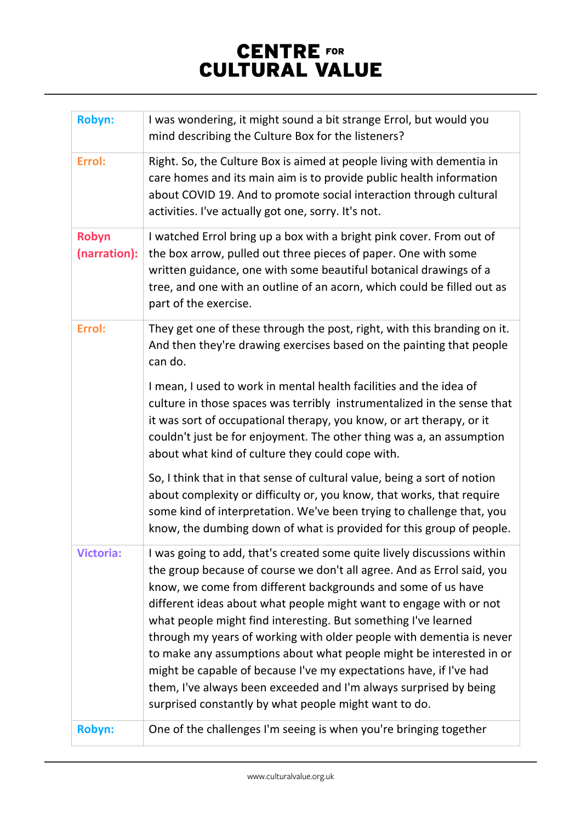| <b>Robyn:</b>         | I was wondering, it might sound a bit strange Errol, but would you<br>mind describing the Culture Box for the listeners?                                                                                                                                                                                                                                                                                                                                                                                                                                                                                                                                                                                     |
|-----------------------|--------------------------------------------------------------------------------------------------------------------------------------------------------------------------------------------------------------------------------------------------------------------------------------------------------------------------------------------------------------------------------------------------------------------------------------------------------------------------------------------------------------------------------------------------------------------------------------------------------------------------------------------------------------------------------------------------------------|
| Errol:                | Right. So, the Culture Box is aimed at people living with dementia in<br>care homes and its main aim is to provide public health information<br>about COVID 19. And to promote social interaction through cultural<br>activities. I've actually got one, sorry. It's not.                                                                                                                                                                                                                                                                                                                                                                                                                                    |
| Robyn<br>(narration): | I watched Errol bring up a box with a bright pink cover. From out of<br>the box arrow, pulled out three pieces of paper. One with some<br>written guidance, one with some beautiful botanical drawings of a<br>tree, and one with an outline of an acorn, which could be filled out as<br>part of the exercise.                                                                                                                                                                                                                                                                                                                                                                                              |
| Errol:                | They get one of these through the post, right, with this branding on it.<br>And then they're drawing exercises based on the painting that people<br>can do.                                                                                                                                                                                                                                                                                                                                                                                                                                                                                                                                                  |
|                       | I mean, I used to work in mental health facilities and the idea of<br>culture in those spaces was terribly instrumentalized in the sense that<br>it was sort of occupational therapy, you know, or art therapy, or it<br>couldn't just be for enjoyment. The other thing was a, an assumption<br>about what kind of culture they could cope with.                                                                                                                                                                                                                                                                                                                                                            |
|                       | So, I think that in that sense of cultural value, being a sort of notion<br>about complexity or difficulty or, you know, that works, that require<br>some kind of interpretation. We've been trying to challenge that, you<br>know, the dumbing down of what is provided for this group of people.                                                                                                                                                                                                                                                                                                                                                                                                           |
| <b>Victoria:</b>      | I was going to add, that's created some quite lively discussions within<br>the group because of course we don't all agree. And as Errol said, you<br>know, we come from different backgrounds and some of us have<br>different ideas about what people might want to engage with or not<br>what people might find interesting. But something I've learned<br>through my years of working with older people with dementia is never<br>to make any assumptions about what people might be interested in or<br>might be capable of because I've my expectations have, if I've had<br>them, I've always been exceeded and I'm always surprised by being<br>surprised constantly by what people might want to do. |
| <b>Robyn:</b>         | One of the challenges I'm seeing is when you're bringing together                                                                                                                                                                                                                                                                                                                                                                                                                                                                                                                                                                                                                                            |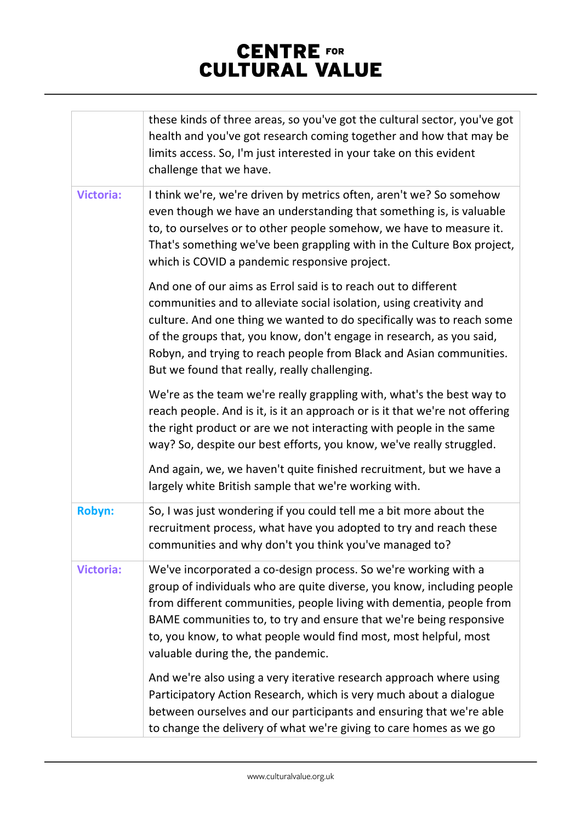|                  | these kinds of three areas, so you've got the cultural sector, you've got<br>health and you've got research coming together and how that may be<br>limits access. So, I'm just interested in your take on this evident<br>challenge that we have.                                                                                                                                                              |
|------------------|----------------------------------------------------------------------------------------------------------------------------------------------------------------------------------------------------------------------------------------------------------------------------------------------------------------------------------------------------------------------------------------------------------------|
| <b>Victoria:</b> | I think we're, we're driven by metrics often, aren't we? So somehow<br>even though we have an understanding that something is, is valuable<br>to, to ourselves or to other people somehow, we have to measure it.<br>That's something we've been grappling with in the Culture Box project,<br>which is COVID a pandemic responsive project.                                                                   |
|                  | And one of our aims as Errol said is to reach out to different<br>communities and to alleviate social isolation, using creativity and<br>culture. And one thing we wanted to do specifically was to reach some<br>of the groups that, you know, don't engage in research, as you said,<br>Robyn, and trying to reach people from Black and Asian communities.<br>But we found that really, really challenging. |
|                  | We're as the team we're really grappling with, what's the best way to<br>reach people. And is it, is it an approach or is it that we're not offering<br>the right product or are we not interacting with people in the same<br>way? So, despite our best efforts, you know, we've really struggled.                                                                                                            |
|                  | And again, we, we haven't quite finished recruitment, but we have a<br>largely white British sample that we're working with.                                                                                                                                                                                                                                                                                   |
| <b>Robyn:</b>    | So, I was just wondering if you could tell me a bit more about the<br>recruitment process, what have you adopted to try and reach these<br>communities and why don't you think you've managed to?                                                                                                                                                                                                              |
| <b>Victoria:</b> | We've incorporated a co-design process. So we're working with a<br>group of individuals who are quite diverse, you know, including people<br>from different communities, people living with dementia, people from<br>BAME communities to, to try and ensure that we're being responsive<br>to, you know, to what people would find most, most helpful, most<br>valuable during the, the pandemic.              |
|                  | And we're also using a very iterative research approach where using<br>Participatory Action Research, which is very much about a dialogue<br>between ourselves and our participants and ensuring that we're able<br>to change the delivery of what we're giving to care homes as we go                                                                                                                         |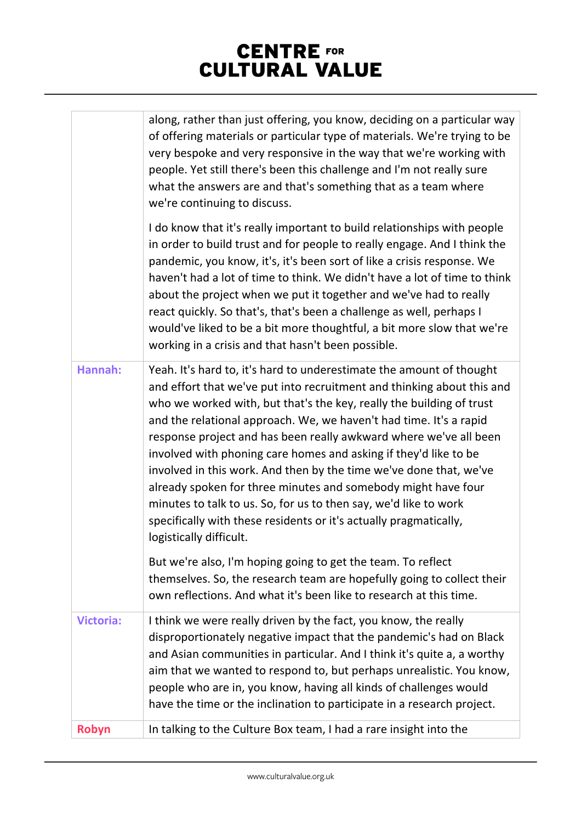|                  | along, rather than just offering, you know, deciding on a particular way<br>of offering materials or particular type of materials. We're trying to be<br>very bespoke and very responsive in the way that we're working with<br>people. Yet still there's been this challenge and I'm not really sure<br>what the answers are and that's something that as a team where<br>we're continuing to discuss.                                                                                                                                                                                                                                                                                                                                          |
|------------------|--------------------------------------------------------------------------------------------------------------------------------------------------------------------------------------------------------------------------------------------------------------------------------------------------------------------------------------------------------------------------------------------------------------------------------------------------------------------------------------------------------------------------------------------------------------------------------------------------------------------------------------------------------------------------------------------------------------------------------------------------|
|                  | I do know that it's really important to build relationships with people<br>in order to build trust and for people to really engage. And I think the<br>pandemic, you know, it's, it's been sort of like a crisis response. We<br>haven't had a lot of time to think. We didn't have a lot of time to think<br>about the project when we put it together and we've had to really<br>react quickly. So that's, that's been a challenge as well, perhaps I<br>would've liked to be a bit more thoughtful, a bit more slow that we're<br>working in a crisis and that hasn't been possible.                                                                                                                                                          |
| Hannah:          | Yeah. It's hard to, it's hard to underestimate the amount of thought<br>and effort that we've put into recruitment and thinking about this and<br>who we worked with, but that's the key, really the building of trust<br>and the relational approach. We, we haven't had time. It's a rapid<br>response project and has been really awkward where we've all been<br>involved with phoning care homes and asking if they'd like to be<br>involved in this work. And then by the time we've done that, we've<br>already spoken for three minutes and somebody might have four<br>minutes to talk to us. So, for us to then say, we'd like to work<br>specifically with these residents or it's actually pragmatically,<br>logistically difficult. |
|                  | But we're also, I'm hoping going to get the team. To reflect<br>themselves. So, the research team are hopefully going to collect their<br>own reflections. And what it's been like to research at this time.                                                                                                                                                                                                                                                                                                                                                                                                                                                                                                                                     |
| <b>Victoria:</b> | I think we were really driven by the fact, you know, the really<br>disproportionately negative impact that the pandemic's had on Black<br>and Asian communities in particular. And I think it's quite a, a worthy<br>aim that we wanted to respond to, but perhaps unrealistic. You know,<br>people who are in, you know, having all kinds of challenges would<br>have the time or the inclination to participate in a research project.                                                                                                                                                                                                                                                                                                         |
| Robyn            | In talking to the Culture Box team, I had a rare insight into the                                                                                                                                                                                                                                                                                                                                                                                                                                                                                                                                                                                                                                                                                |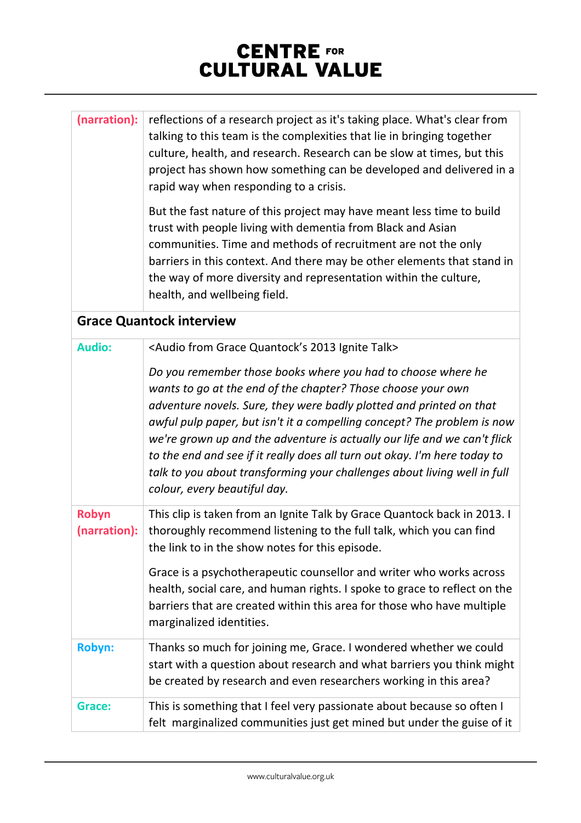| (narration):          | reflections of a research project as it's taking place. What's clear from<br>talking to this team is the complexities that lie in bringing together<br>culture, health, and research. Research can be slow at times, but this<br>project has shown how something can be developed and delivered in a<br>rapid way when responding to a crisis.                                                                                                                                                                                                      |
|-----------------------|-----------------------------------------------------------------------------------------------------------------------------------------------------------------------------------------------------------------------------------------------------------------------------------------------------------------------------------------------------------------------------------------------------------------------------------------------------------------------------------------------------------------------------------------------------|
|                       | But the fast nature of this project may have meant less time to build<br>trust with people living with dementia from Black and Asian<br>communities. Time and methods of recruitment are not the only<br>barriers in this context. And there may be other elements that stand in<br>the way of more diversity and representation within the culture,<br>health, and wellbeing field.                                                                                                                                                                |
|                       | <b>Grace Quantock interview</b>                                                                                                                                                                                                                                                                                                                                                                                                                                                                                                                     |
| <b>Audio:</b>         | <audio 2013="" from="" grace="" ignite="" quantock's="" talk=""></audio>                                                                                                                                                                                                                                                                                                                                                                                                                                                                            |
|                       | Do you remember those books where you had to choose where he<br>wants to go at the end of the chapter? Those choose your own<br>adventure novels. Sure, they were badly plotted and printed on that<br>awful pulp paper, but isn't it a compelling concept? The problem is now<br>we're grown up and the adventure is actually our life and we can't flick<br>to the end and see if it really does all turn out okay. I'm here today to<br>talk to you about transforming your challenges about living well in full<br>colour, every beautiful day. |
| Robyn<br>(narration): | This clip is taken from an Ignite Talk by Grace Quantock back in 2013. I<br>thoroughly recommend listening to the full talk, which you can find<br>the link to in the show notes for this episode.                                                                                                                                                                                                                                                                                                                                                  |
|                       | Grace is a psychotherapeutic counsellor and writer who works across<br>health, social care, and human rights. I spoke to grace to reflect on the<br>barriers that are created within this area for those who have multiple<br>marginalized identities.                                                                                                                                                                                                                                                                                              |
| <b>Robyn:</b>         | Thanks so much for joining me, Grace. I wondered whether we could<br>start with a question about research and what barriers you think might<br>be created by research and even researchers working in this area?                                                                                                                                                                                                                                                                                                                                    |
| Grace:                | This is something that I feel very passionate about because so often I<br>felt marginalized communities just get mined but under the guise of it                                                                                                                                                                                                                                                                                                                                                                                                    |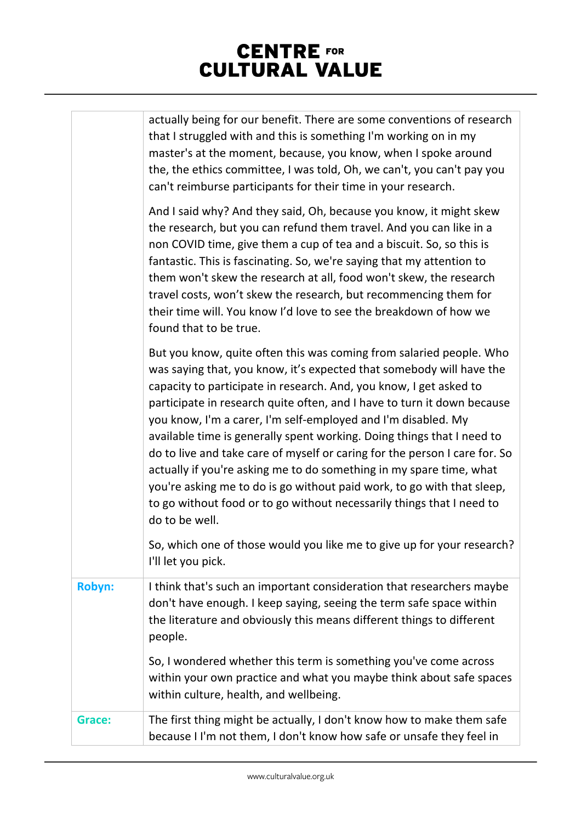|               | actually being for our benefit. There are some conventions of research<br>that I struggled with and this is something I'm working on in my<br>master's at the moment, because, you know, when I spoke around<br>the, the ethics committee, I was told, Oh, we can't, you can't pay you<br>can't reimburse participants for their time in your research.                                                                                                                                                                                                                                                                                                                                                                                                           |
|---------------|-------------------------------------------------------------------------------------------------------------------------------------------------------------------------------------------------------------------------------------------------------------------------------------------------------------------------------------------------------------------------------------------------------------------------------------------------------------------------------------------------------------------------------------------------------------------------------------------------------------------------------------------------------------------------------------------------------------------------------------------------------------------|
|               | And I said why? And they said, Oh, because you know, it might skew<br>the research, but you can refund them travel. And you can like in a<br>non COVID time, give them a cup of tea and a biscuit. So, so this is<br>fantastic. This is fascinating. So, we're saying that my attention to<br>them won't skew the research at all, food won't skew, the research<br>travel costs, won't skew the research, but recommencing them for<br>their time will. You know I'd love to see the breakdown of how we<br>found that to be true.                                                                                                                                                                                                                               |
|               | But you know, quite often this was coming from salaried people. Who<br>was saying that, you know, it's expected that somebody will have the<br>capacity to participate in research. And, you know, I get asked to<br>participate in research quite often, and I have to turn it down because<br>you know, I'm a carer, I'm self-employed and I'm disabled. My<br>available time is generally spent working. Doing things that I need to<br>do to live and take care of myself or caring for the person I care for. So<br>actually if you're asking me to do something in my spare time, what<br>you're asking me to do is go without paid work, to go with that sleep,<br>to go without food or to go without necessarily things that I need to<br>do to be well. |
|               | So, which one of those would you like me to give up for your research?<br>I'll let you pick.                                                                                                                                                                                                                                                                                                                                                                                                                                                                                                                                                                                                                                                                      |
| <b>Robyn:</b> | I think that's such an important consideration that researchers maybe<br>don't have enough. I keep saying, seeing the term safe space within<br>the literature and obviously this means different things to different<br>people.                                                                                                                                                                                                                                                                                                                                                                                                                                                                                                                                  |
|               | So, I wondered whether this term is something you've come across<br>within your own practice and what you maybe think about safe spaces<br>within culture, health, and wellbeing.                                                                                                                                                                                                                                                                                                                                                                                                                                                                                                                                                                                 |
| Grace:        | The first thing might be actually, I don't know how to make them safe<br>because I I'm not them, I don't know how safe or unsafe they feel in                                                                                                                                                                                                                                                                                                                                                                                                                                                                                                                                                                                                                     |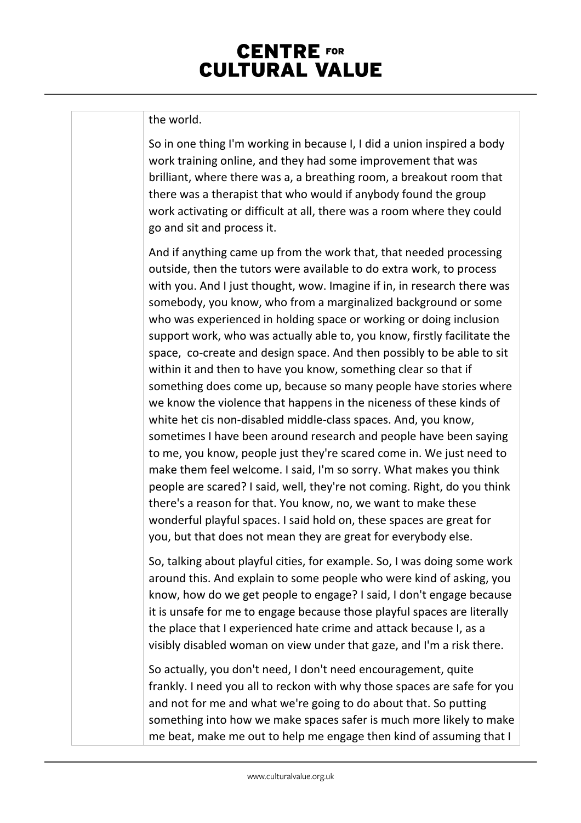#### the world.

So in one thing I'm working in because I, I did a union inspired a body work training online, and they had some improvement that was brilliant, where there was a, a breathing room, a breakout room that there was a therapist that who would if anybody found the group work activating or difficult at all, there was a room where they could go and sit and process it.

And if anything came up from the work that, that needed processing outside, then the tutors were available to do extra work, to process with you. And I just thought, wow. Imagine if in, in research there was somebody, you know, who from a marginalized background or some who was experienced in holding space or working or doing inclusion support work, who was actually able to, you know, firstly facilitate the space, co-create and design space. And then possibly to be able to sit within it and then to have you know, something clear so that if something does come up, because so many people have stories where we know the violence that happens in the niceness of these kinds of white het cis non-disabled middle-class spaces. And, you know, sometimes I have been around research and people have been saying to me, you know, people just they're scared come in. We just need to make them feel welcome. I said, I'm so sorry. What makes you think people are scared? I said, well, they're not coming. Right, do you think there's a reason for that. You know, no, we want to make these wonderful playful spaces. I said hold on, these spaces are great for you, but that does not mean they are great for everybody else.

So, talking about playful cities, for example. So, I was doing some work around this. And explain to some people who were kind of asking, you know, how do we get people to engage? I said, I don't engage because it is unsafe for me to engage because those playful spaces are literally the place that I experienced hate crime and attack because I, as a visibly disabled woman on view under that gaze, and I'm a risk there.

So actually, you don't need, I don't need encouragement, quite frankly. I need you all to reckon with why those spaces are safe for you and not for me and what we're going to do about that. So putting something into how we make spaces safer is much more likely to make me beat, make me out to help me engage then kind of assuming that I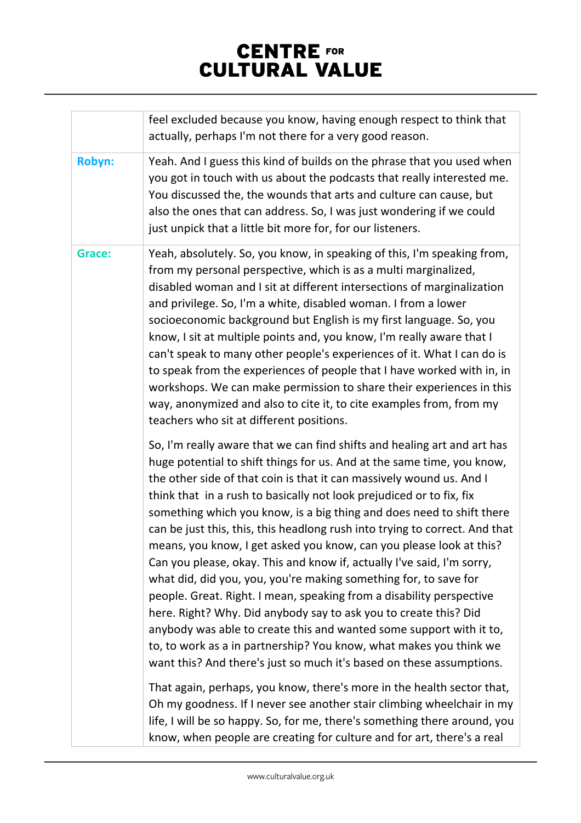|        | feel excluded because you know, having enough respect to think that<br>actually, perhaps I'm not there for a very good reason.                                                                                                                                                                                                                                                                                                                                                                                                                                                                                                                                                                                                                                                                                                                                                                                                                                                                                                                   |
|--------|--------------------------------------------------------------------------------------------------------------------------------------------------------------------------------------------------------------------------------------------------------------------------------------------------------------------------------------------------------------------------------------------------------------------------------------------------------------------------------------------------------------------------------------------------------------------------------------------------------------------------------------------------------------------------------------------------------------------------------------------------------------------------------------------------------------------------------------------------------------------------------------------------------------------------------------------------------------------------------------------------------------------------------------------------|
| Robyn: | Yeah. And I guess this kind of builds on the phrase that you used when<br>you got in touch with us about the podcasts that really interested me.<br>You discussed the, the wounds that arts and culture can cause, but<br>also the ones that can address. So, I was just wondering if we could<br>just unpick that a little bit more for, for our listeners.                                                                                                                                                                                                                                                                                                                                                                                                                                                                                                                                                                                                                                                                                     |
| Grace: | Yeah, absolutely. So, you know, in speaking of this, I'm speaking from,<br>from my personal perspective, which is as a multi marginalized,<br>disabled woman and I sit at different intersections of marginalization<br>and privilege. So, I'm a white, disabled woman. I from a lower<br>socioeconomic background but English is my first language. So, you<br>know, I sit at multiple points and, you know, I'm really aware that I<br>can't speak to many other people's experiences of it. What I can do is<br>to speak from the experiences of people that I have worked with in, in<br>workshops. We can make permission to share their experiences in this<br>way, anonymized and also to cite it, to cite examples from, from my<br>teachers who sit at different positions.                                                                                                                                                                                                                                                             |
|        | So, I'm really aware that we can find shifts and healing art and art has<br>huge potential to shift things for us. And at the same time, you know,<br>the other side of that coin is that it can massively wound us. And I<br>think that in a rush to basically not look prejudiced or to fix, fix<br>something which you know, is a big thing and does need to shift there<br>can be just this, this, this headlong rush into trying to correct. And that<br>means, you know, I get asked you know, can you please look at this?<br>Can you please, okay. This and know if, actually I've said, I'm sorry,<br>what did, did you, you, you're making something for, to save for<br>people. Great. Right. I mean, speaking from a disability perspective<br>here. Right? Why. Did anybody say to ask you to create this? Did<br>anybody was able to create this and wanted some support with it to,<br>to, to work as a in partnership? You know, what makes you think we<br>want this? And there's just so much it's based on these assumptions. |
|        | That again, perhaps, you know, there's more in the health sector that,<br>Oh my goodness. If I never see another stair climbing wheelchair in my<br>life, I will be so happy. So, for me, there's something there around, you<br>know, when people are creating for culture and for art, there's a real                                                                                                                                                                                                                                                                                                                                                                                                                                                                                                                                                                                                                                                                                                                                          |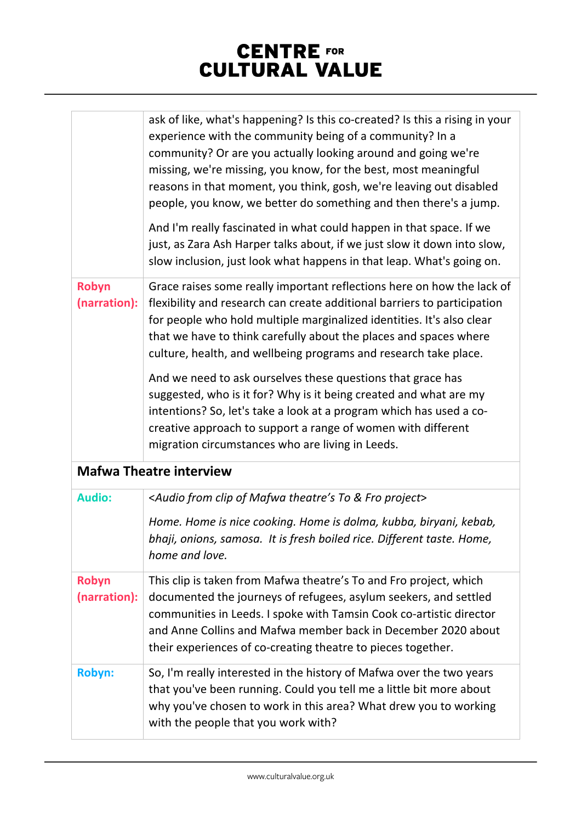|                              | ask of like, what's happening? Is this co-created? Is this a rising in your<br>experience with the community being of a community? In a<br>community? Or are you actually looking around and going we're<br>missing, we're missing, you know, for the best, most meaningful<br>reasons in that moment, you think, gosh, we're leaving out disabled<br>people, you know, we better do something and then there's a jump.<br>And I'm really fascinated in what could happen in that space. If we<br>just, as Zara Ash Harper talks about, if we just slow it down into slow,<br>slow inclusion, just look what happens in that leap. What's going on.                                                 |
|------------------------------|-----------------------------------------------------------------------------------------------------------------------------------------------------------------------------------------------------------------------------------------------------------------------------------------------------------------------------------------------------------------------------------------------------------------------------------------------------------------------------------------------------------------------------------------------------------------------------------------------------------------------------------------------------------------------------------------------------|
| Robyn<br>(narration):        | Grace raises some really important reflections here on how the lack of<br>flexibility and research can create additional barriers to participation<br>for people who hold multiple marginalized identities. It's also clear<br>that we have to think carefully about the places and spaces where<br>culture, health, and wellbeing programs and research take place.<br>And we need to ask ourselves these questions that grace has<br>suggested, who is it for? Why is it being created and what are my<br>intentions? So, let's take a look at a program which has used a co-<br>creative approach to support a range of women with different<br>migration circumstances who are living in Leeds. |
|                              | <b>Mafwa Theatre interview</b>                                                                                                                                                                                                                                                                                                                                                                                                                                                                                                                                                                                                                                                                      |
| <b>Audio:</b>                | <audio &="" clip="" fro="" from="" mafwa="" of="" project="" theatre's="" to=""><br/>Home. Home is nice cooking. Home is dolma, kubba, biryani, kebab,<br/>bhaji, onions, samosa. It is fresh boiled rice. Different taste. Home,<br/>home and love.</audio>                                                                                                                                                                                                                                                                                                                                                                                                                                        |
| <b>Robyn</b><br>(narration): | This clip is taken from Mafwa theatre's To and Fro project, which<br>documented the journeys of refugees, asylum seekers, and settled<br>communities in Leeds. I spoke with Tamsin Cook co-artistic director<br>and Anne Collins and Mafwa member back in December 2020 about<br>their experiences of co-creating theatre to pieces together.                                                                                                                                                                                                                                                                                                                                                       |
| <b>Robyn:</b>                | So, I'm really interested in the history of Mafwa over the two years<br>that you've been running. Could you tell me a little bit more about<br>why you've chosen to work in this area? What drew you to working<br>with the people that you work with?                                                                                                                                                                                                                                                                                                                                                                                                                                              |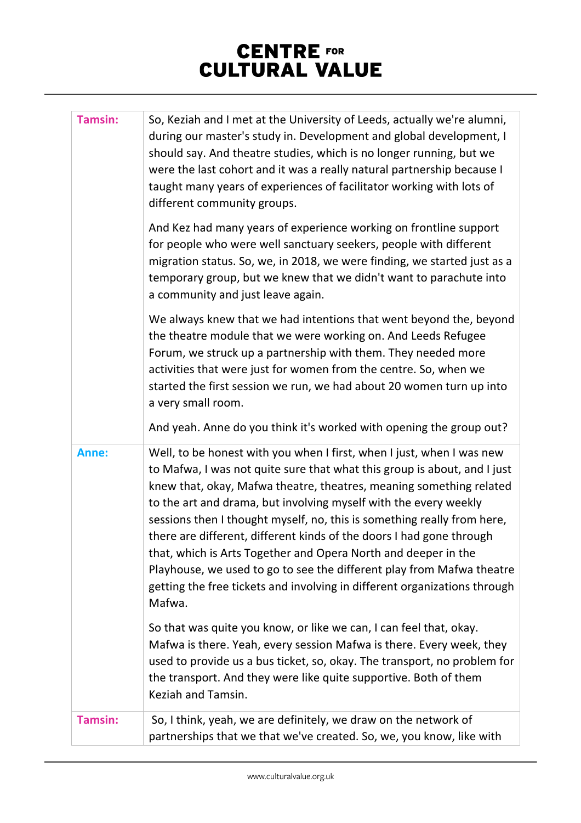| <b>Tamsin:</b> | So, Keziah and I met at the University of Leeds, actually we're alumni,<br>during our master's study in. Development and global development, I<br>should say. And theatre studies, which is no longer running, but we<br>were the last cohort and it was a really natural partnership because I<br>taught many years of experiences of facilitator working with lots of<br>different community groups.                                                                                                                                                                                                                                                                            |
|----------------|-----------------------------------------------------------------------------------------------------------------------------------------------------------------------------------------------------------------------------------------------------------------------------------------------------------------------------------------------------------------------------------------------------------------------------------------------------------------------------------------------------------------------------------------------------------------------------------------------------------------------------------------------------------------------------------|
|                | And Kez had many years of experience working on frontline support<br>for people who were well sanctuary seekers, people with different<br>migration status. So, we, in 2018, we were finding, we started just as a<br>temporary group, but we knew that we didn't want to parachute into<br>a community and just leave again.                                                                                                                                                                                                                                                                                                                                                     |
|                | We always knew that we had intentions that went beyond the, beyond<br>the theatre module that we were working on. And Leeds Refugee<br>Forum, we struck up a partnership with them. They needed more<br>activities that were just for women from the centre. So, when we<br>started the first session we run, we had about 20 women turn up into<br>a very small room.                                                                                                                                                                                                                                                                                                            |
|                | And yeah. Anne do you think it's worked with opening the group out?                                                                                                                                                                                                                                                                                                                                                                                                                                                                                                                                                                                                               |
| Anne:          | Well, to be honest with you when I first, when I just, when I was new<br>to Mafwa, I was not quite sure that what this group is about, and I just<br>knew that, okay, Mafwa theatre, theatres, meaning something related<br>to the art and drama, but involving myself with the every weekly<br>sessions then I thought myself, no, this is something really from here,<br>there are different, different kinds of the doors I had gone through<br>that, which is Arts Together and Opera North and deeper in the<br>Playhouse, we used to go to see the different play from Mafwa theatre<br>getting the free tickets and involving in different organizations through<br>Mafwa. |
|                | So that was quite you know, or like we can, I can feel that, okay.<br>Mafwa is there. Yeah, every session Mafwa is there. Every week, they<br>used to provide us a bus ticket, so, okay. The transport, no problem for<br>the transport. And they were like quite supportive. Both of them<br>Keziah and Tamsin.                                                                                                                                                                                                                                                                                                                                                                  |
| <b>Tamsin:</b> | So, I think, yeah, we are definitely, we draw on the network of<br>partnerships that we that we've created. So, we, you know, like with                                                                                                                                                                                                                                                                                                                                                                                                                                                                                                                                           |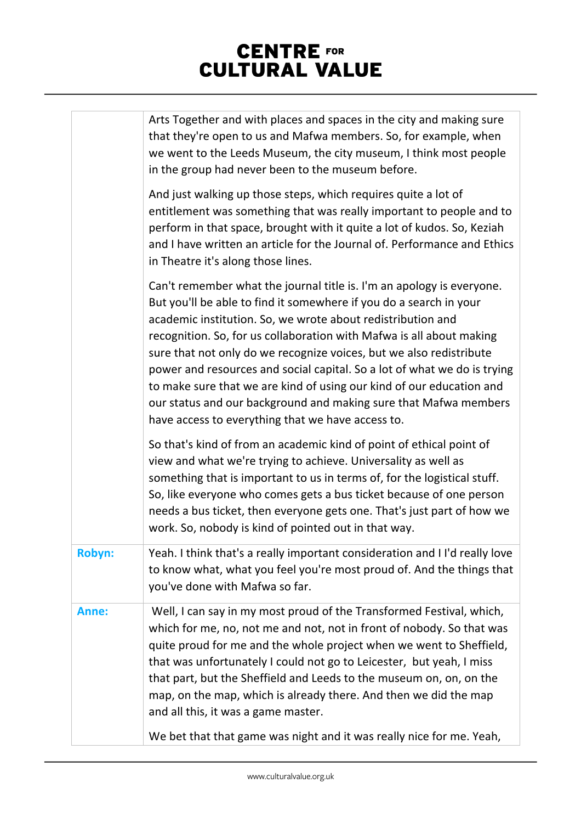|        | Arts Together and with places and spaces in the city and making sure<br>that they're open to us and Mafwa members. So, for example, when<br>we went to the Leeds Museum, the city museum, I think most people<br>in the group had never been to the museum before.                                                                                                                                                                                                                                                                                                                                                                     |
|--------|----------------------------------------------------------------------------------------------------------------------------------------------------------------------------------------------------------------------------------------------------------------------------------------------------------------------------------------------------------------------------------------------------------------------------------------------------------------------------------------------------------------------------------------------------------------------------------------------------------------------------------------|
|        | And just walking up those steps, which requires quite a lot of<br>entitlement was something that was really important to people and to<br>perform in that space, brought with it quite a lot of kudos. So, Keziah<br>and I have written an article for the Journal of. Performance and Ethics<br>in Theatre it's along those lines.                                                                                                                                                                                                                                                                                                    |
|        | Can't remember what the journal title is. I'm an apology is everyone.<br>But you'll be able to find it somewhere if you do a search in your<br>academic institution. So, we wrote about redistribution and<br>recognition. So, for us collaboration with Mafwa is all about making<br>sure that not only do we recognize voices, but we also redistribute<br>power and resources and social capital. So a lot of what we do is trying<br>to make sure that we are kind of using our kind of our education and<br>our status and our background and making sure that Mafwa members<br>have access to everything that we have access to. |
|        | So that's kind of from an academic kind of point of ethical point of<br>view and what we're trying to achieve. Universality as well as<br>something that is important to us in terms of, for the logistical stuff.<br>So, like everyone who comes gets a bus ticket because of one person<br>needs a bus ticket, then everyone gets one. That's just part of how we<br>work. So, nobody is kind of pointed out in that way.                                                                                                                                                                                                            |
| Robyn: | Yeah. I think that's a really important consideration and I I'd really love<br>to know what, what you feel you're most proud of. And the things that<br>you've done with Mafwa so far.                                                                                                                                                                                                                                                                                                                                                                                                                                                 |
| Anne:  | Well, I can say in my most proud of the Transformed Festival, which,<br>which for me, no, not me and not, not in front of nobody. So that was<br>quite proud for me and the whole project when we went to Sheffield,<br>that was unfortunately I could not go to Leicester, but yeah, I miss<br>that part, but the Sheffield and Leeds to the museum on, on, on the<br>map, on the map, which is already there. And then we did the map<br>and all this, it was a game master.                                                                                                                                                         |
|        | We bet that that game was night and it was really nice for me. Yeah,                                                                                                                                                                                                                                                                                                                                                                                                                                                                                                                                                                   |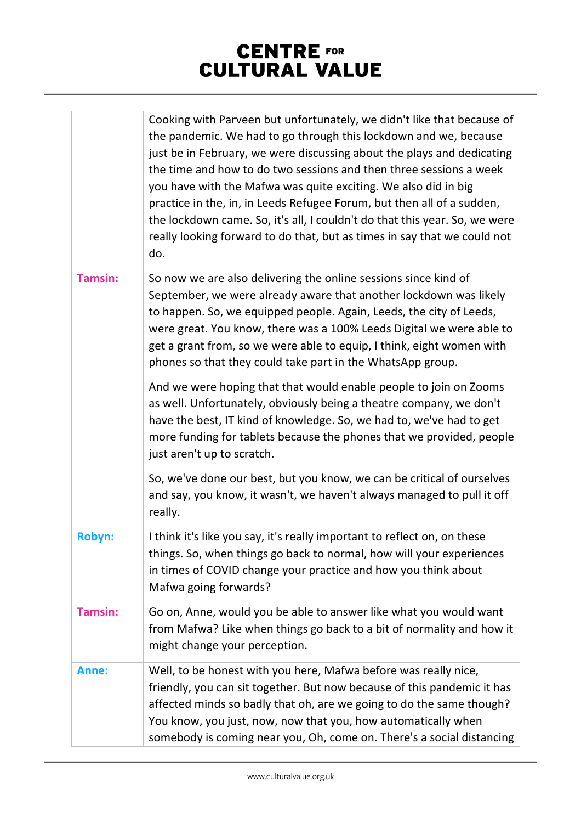|                | Cooking with Parveen but unfortunately, we didn't like that because of<br>the pandemic. We had to go through this lockdown and we, because<br>just be in February, we were discussing about the plays and dedicating<br>the time and how to do two sessions and then three sessions a week<br>you have with the Mafwa was quite exciting. We also did in big<br>practice in the, in, in Leeds Refugee Forum, but then all of a sudden,<br>the lockdown came. So, it's all, I couldn't do that this year. So, we were<br>really looking forward to do that, but as times in say that we could not<br>do. |
|----------------|---------------------------------------------------------------------------------------------------------------------------------------------------------------------------------------------------------------------------------------------------------------------------------------------------------------------------------------------------------------------------------------------------------------------------------------------------------------------------------------------------------------------------------------------------------------------------------------------------------|
| <b>Tamsin:</b> | So now we are also delivering the online sessions since kind of<br>September, we were already aware that another lockdown was likely<br>to happen. So, we equipped people. Again, Leeds, the city of Leeds,<br>were great. You know, there was a 100% Leeds Digital we were able to<br>get a grant from, so we were able to equip, I think, eight women with<br>phones so that they could take part in the WhatsApp group.                                                                                                                                                                              |
|                | And we were hoping that that would enable people to join on Zooms<br>as well. Unfortunately, obviously being a theatre company, we don't<br>have the best, IT kind of knowledge. So, we had to, we've had to get<br>more funding for tablets because the phones that we provided, people<br>just aren't up to scratch.                                                                                                                                                                                                                                                                                  |
|                | So, we've done our best, but you know, we can be critical of ourselves<br>and say, you know, it wasn't, we haven't always managed to pull it off<br>really.                                                                                                                                                                                                                                                                                                                                                                                                                                             |
| Robyn:         | I think it's like you say, it's really important to reflect on, on these<br>things. So, when things go back to normal, how will your experiences<br>in times of COVID change your practice and how you think about<br>Mafwa going forwards?                                                                                                                                                                                                                                                                                                                                                             |
| <b>Tamsin:</b> | Go on, Anne, would you be able to answer like what you would want<br>from Mafwa? Like when things go back to a bit of normality and how it<br>might change your perception.                                                                                                                                                                                                                                                                                                                                                                                                                             |
| Anne:          | Well, to be honest with you here, Mafwa before was really nice,<br>friendly, you can sit together. But now because of this pandemic it has<br>affected minds so badly that oh, are we going to do the same though?<br>You know, you just, now, now that you, how automatically when<br>somebody is coming near you, Oh, come on. There's a social distancing                                                                                                                                                                                                                                            |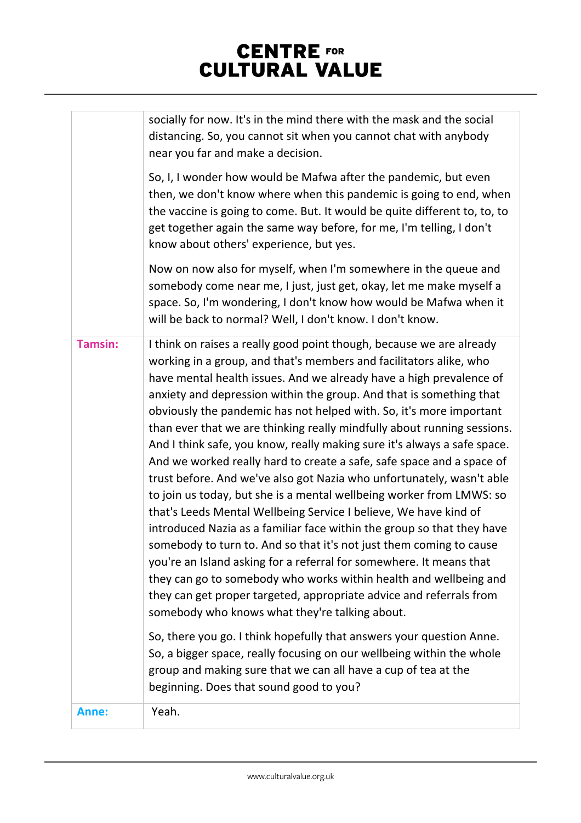|                | socially for now. It's in the mind there with the mask and the social<br>distancing. So, you cannot sit when you cannot chat with anybody<br>near you far and make a decision.                                                                                                                                                                                                                                                                                                                                                                                                                                                                                                                                                                                                                                                                                                                                                                                                                                                                                                                                                                                                                                                                                                                                                                                                                                                                                                                           |
|----------------|----------------------------------------------------------------------------------------------------------------------------------------------------------------------------------------------------------------------------------------------------------------------------------------------------------------------------------------------------------------------------------------------------------------------------------------------------------------------------------------------------------------------------------------------------------------------------------------------------------------------------------------------------------------------------------------------------------------------------------------------------------------------------------------------------------------------------------------------------------------------------------------------------------------------------------------------------------------------------------------------------------------------------------------------------------------------------------------------------------------------------------------------------------------------------------------------------------------------------------------------------------------------------------------------------------------------------------------------------------------------------------------------------------------------------------------------------------------------------------------------------------|
|                | So, I, I wonder how would be Mafwa after the pandemic, but even<br>then, we don't know where when this pandemic is going to end, when<br>the vaccine is going to come. But. It would be quite different to, to, to<br>get together again the same way before, for me, I'm telling, I don't<br>know about others' experience, but yes.                                                                                                                                                                                                                                                                                                                                                                                                                                                                                                                                                                                                                                                                                                                                                                                                                                                                                                                                                                                                                                                                                                                                                                    |
|                | Now on now also for myself, when I'm somewhere in the queue and<br>somebody come near me, I just, just get, okay, let me make myself a<br>space. So, I'm wondering, I don't know how would be Mafwa when it<br>will be back to normal? Well, I don't know. I don't know.                                                                                                                                                                                                                                                                                                                                                                                                                                                                                                                                                                                                                                                                                                                                                                                                                                                                                                                                                                                                                                                                                                                                                                                                                                 |
| <b>Tamsin:</b> | I think on raises a really good point though, because we are already<br>working in a group, and that's members and facilitators alike, who<br>have mental health issues. And we already have a high prevalence of<br>anxiety and depression within the group. And that is something that<br>obviously the pandemic has not helped with. So, it's more important<br>than ever that we are thinking really mindfully about running sessions.<br>And I think safe, you know, really making sure it's always a safe space.<br>And we worked really hard to create a safe, safe space and a space of<br>trust before. And we've also got Nazia who unfortunately, wasn't able<br>to join us today, but she is a mental wellbeing worker from LMWS: so<br>that's Leeds Mental Wellbeing Service I believe, We have kind of<br>introduced Nazia as a familiar face within the group so that they have<br>somebody to turn to. And so that it's not just them coming to cause<br>you're an Island asking for a referral for somewhere. It means that<br>they can go to somebody who works within health and wellbeing and<br>they can get proper targeted, appropriate advice and referrals from<br>somebody who knows what they're talking about.<br>So, there you go. I think hopefully that answers your question Anne.<br>So, a bigger space, really focusing on our wellbeing within the whole<br>group and making sure that we can all have a cup of tea at the<br>beginning. Does that sound good to you? |
| Anne:          | Yeah.                                                                                                                                                                                                                                                                                                                                                                                                                                                                                                                                                                                                                                                                                                                                                                                                                                                                                                                                                                                                                                                                                                                                                                                                                                                                                                                                                                                                                                                                                                    |